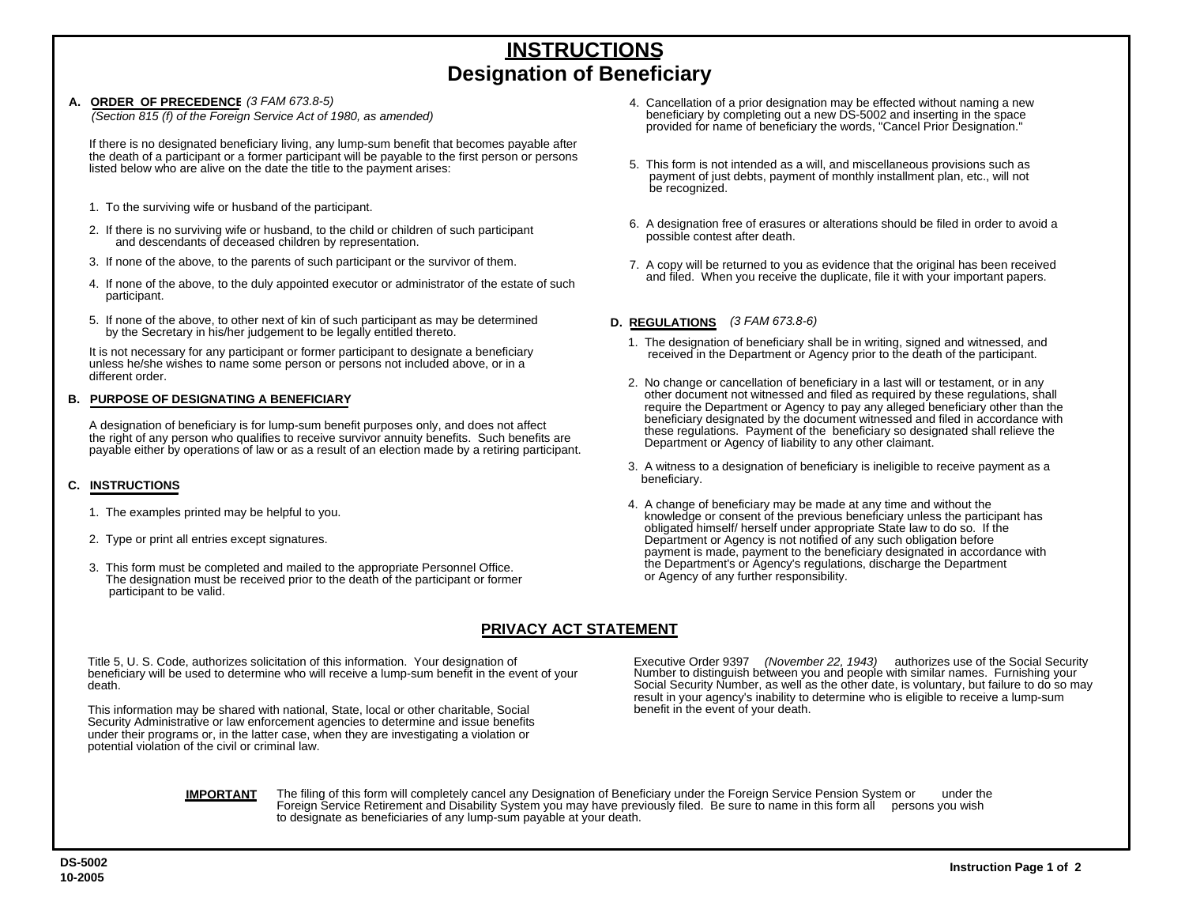# **INSTRUCTIONSDesignation of Beneficiary**

#### A. ORDER OF PRECEDENCE (3 FAM 673.8-5)

If there is no designated beneficiary living, any lump-sum benefit that becomes payable after the death of a participant or a former participant will be payable to the first person or persons listed below who are alive on the date the title to the payment arises:

- 1. To the surviving wife or husband of the participant.
- 2. If there is no surviving wife or husband, to the child or children of such participant and descendants of deceased children by representation.
- 3. If none of the above, to the parents of such participant or the survivor of them.
- 4. If none of the above, to the duly appointed executor or administrator of the estate of such participant.
- 5. If none of the above, to other next of kin of such participant as may be determined by the Secretary in his/her judgement to be legally entitled thereto.

It is not necessary for any participant or former participant to designate a beneficiary unless he/she wishes to name some person or persons not included above, or in a different order.

#### **B. PURPOSE OF DESIGNATING A BENEFICIARY**

A designation of beneficiary is for lump-sum benefit purposes only, and does not affect the right of any person who qualifies to receive survivor annuity benefits. Such benefits are payable either by operations of law or as a result of an election made by a retiring participant.

### **C. INSTRUCTIONS**

- 1. The examples printed may be helpful to you.
- 2. Type or print all entries except signatures.
- 3. This form must be completed and mailed to the appropriate Personnel Office. The designation must be received prior to the death of the participant or former participant to be valid.

## **PRIVACY ACT STATEMENT**

Title 5, U. S. Code, authorizes solicitation of this information. Your designation of beneficiary will be used to determine who will receive a lump-sum benefit in the event of your death.

This information may be shared with national, State, local or other charitable, Social Security Administrative or law enforcement agencies to determine and issue benefits under their programs or, in the latter case, when they are investigating a violation or potential violation of the civil or criminal law.

- *(3 FAM 673.8-5)* 4. Cancellation of a prior designation may be effected without naming a new beneficiary by completing out a new DS-5002 and inserting in the space provided for name of beneficiary the words, "Cancel Prior Designation." *(Section 815 (f) of the Foreign Service Act of 1980, as amended)*
	- 5. This form is not intended as a will, and miscellaneous provisions such as payment of just debts, payment of monthly installment plan, etc., will not be recognized.
	- 6. A designation free of erasures or alterations should be filed in order to avoid a possible contest after death.
	- 7. A copy will be returned to you as evidence that the original has been received and filed. When you receive the duplicate, file it with your important papers.

#### **D. REGULATIONS**  *(3 FAM 673.8-6)*

- 1. The designation of beneficiary shall be in writing, signed and witnessed, and received in the Department or Agency prior to the death of the participant.
- 2. No change or cancellation of beneficiary in a last will or testament, or in any other document not witnessed and filed as required by these regulations, shall require the Department or Agency to pay any alleged beneficiary other than the beneficiary designated by the document witnessed and filed in accordance with these regulations. Payment of the beneficiary so designated shall relieve the Department or Agency of liability to any other claimant.
- 3. A witness to a designation of beneficiary is ineligible to receive payment as a beneficiary.
- 4. A change of beneficiary may be made at any time and without the knowledge or consent of the previous beneficiary unless the participant has obligated himself/ herself under appropriate State law to do so. If the Department or Agency is not notified of any such obligation before payment is made, payment to the beneficiary designated in accordance with the Department's or Agency's regulations, discharge the Department or Agency of any further responsibility.

Executive Order 9397 *(November 22, 1943)* authorizes use of the Social Security Number to distinguish between you and people with similar names. Furnishing your Social Security Number, as well as the other date, is voluntary, but failure to do so may result in your agency's inability to determine who is eligible to receive a lump-sum benefit in the event of your death.

**IMPORTANT** 

The filing of this form will completely cancel any Designation of Beneficiary under the Foreign Service Pension System or under the Foreign Service Retirement and Disability System you may have previously filed. Be sure to name in this form all persons you wish to designate as beneficiaries of any lump-sum payable at your death.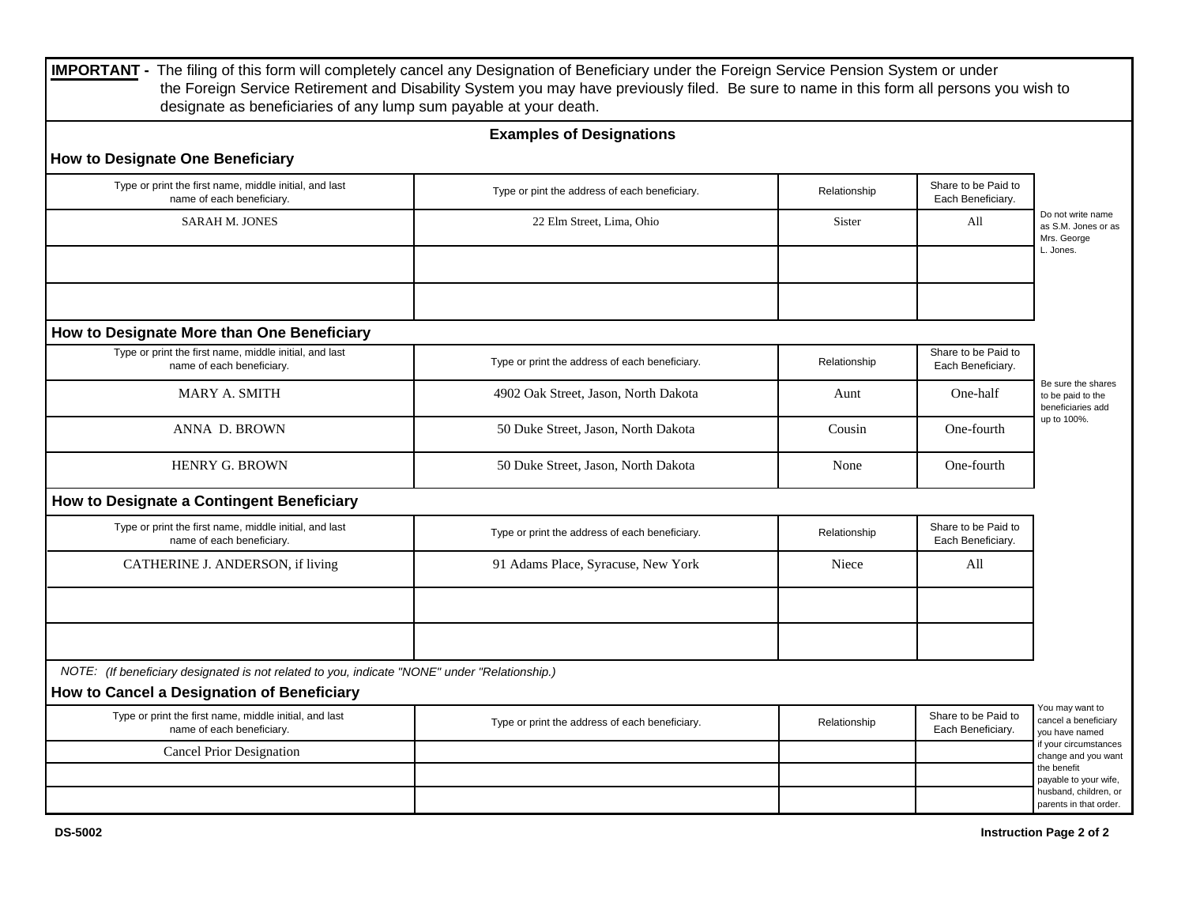|                                                                                                                                             | <b>Examples of Designations</b>                |              |                                          |                                                                             |  |
|---------------------------------------------------------------------------------------------------------------------------------------------|------------------------------------------------|--------------|------------------------------------------|-----------------------------------------------------------------------------|--|
| <b>How to Designate One Beneficiary</b>                                                                                                     |                                                |              |                                          |                                                                             |  |
| Type or print the first name, middle initial, and last<br>name of each beneficiary.                                                         | Type or pint the address of each beneficiary.  | Relationship | Share to be Paid to<br>Each Beneficiary. |                                                                             |  |
| <b>SARAH M. JONES</b>                                                                                                                       | 22 Elm Street, Lima, Ohio                      | Sister       | All                                      | Do not write name<br>as S.M. Jones or as<br>Mrs. George<br>L. Jones.        |  |
| How to Designate More than One Beneficiary                                                                                                  |                                                |              |                                          |                                                                             |  |
| Type or print the first name, middle initial, and last<br>name of each beneficiary.                                                         | Type or print the address of each beneficiary. | Relationship | Share to be Paid to<br>Each Beneficiary. | Be sure the shares<br>to be paid to the<br>beneficiaries add<br>up to 100%. |  |
| MARY A. SMITH                                                                                                                               | 4902 Oak Street, Jason, North Dakota           | Aunt         | One-half                                 |                                                                             |  |
| ANNA D. BROWN                                                                                                                               | 50 Duke Street, Jason, North Dakota            | Cousin       | One-fourth                               |                                                                             |  |
| <b>HENRY G. BROWN</b>                                                                                                                       | 50 Duke Street, Jason, North Dakota            | None         | One-fourth                               |                                                                             |  |
| How to Designate a Contingent Beneficiary                                                                                                   |                                                |              |                                          |                                                                             |  |
| Type or print the first name, middle initial, and last<br>name of each beneficiary.                                                         | Type or print the address of each beneficiary. | Relationship | Share to be Paid to<br>Each Beneficiary. |                                                                             |  |
| CATHERINE J. ANDERSON, if living                                                                                                            | 91 Adams Place, Syracuse, New York             | Niece        | All                                      |                                                                             |  |
|                                                                                                                                             |                                                |              |                                          |                                                                             |  |
| NOTE: (If beneficiary designated is not related to you, indicate "NONE" under "Relationship.)<br>How to Cancel a Designation of Beneficiary |                                                |              |                                          |                                                                             |  |
| Type or print the first name, middle initial, and last                                                                                      |                                                |              | Share to be Paid to                      | You may want to                                                             |  |
| name of each beneficiary.                                                                                                                   | Type or print the address of each beneficiary. | Relationship | Each Beneficiary.                        | cancel a beneficiary<br>you have named                                      |  |
| <b>Cancel Prior Designation</b>                                                                                                             |                                                |              |                                          | if your circumstances<br>change and you want<br>the benefit                 |  |